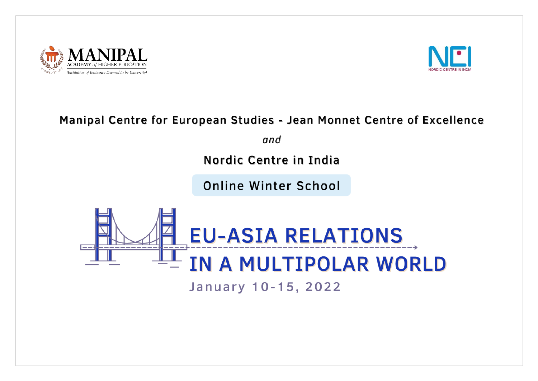



# Manipal Centre for European Studies - Jean Monnet Centre of Excellence

and

Nordic Centre in India

**Online Winter School** 

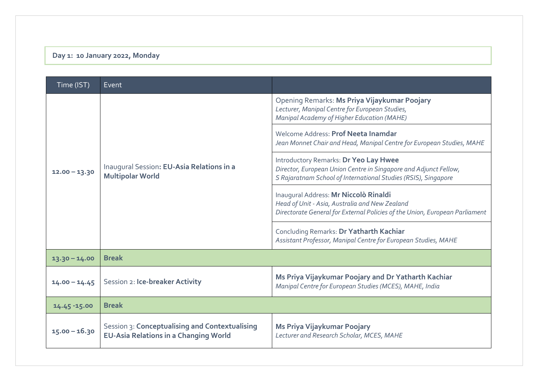# **Day 1: 10 January 2022, Monday**

| Time (IST)      | Event                                                                                          |                                                                                                                                                                                    |
|-----------------|------------------------------------------------------------------------------------------------|------------------------------------------------------------------------------------------------------------------------------------------------------------------------------------|
| $12.00 - 13.30$ | Inaugural Session: EU-Asia Relations in a<br><b>Multipolar World</b>                           | Opening Remarks: Ms Priya Vijaykumar Poojary<br>Lecturer, Manipal Centre for European Studies,<br>Manipal Academy of Higher Education (MAHE)                                       |
|                 |                                                                                                | Welcome Address: Prof Neeta Inamdar<br>Jean Monnet Chair and Head, Manipal Centre for European Studies, MAHE                                                                       |
|                 |                                                                                                | <b>Introductory Remarks: Dr Yeo Lay Hwee</b><br>Director, European Union Centre in Singapore and Adjunct Fellow,<br>S Rajaratnam School of International Studies (RSIS), Singapore |
|                 |                                                                                                | Inaugural Address: Mr Niccolò Rinaldi<br>Head of Unit - Asia, Australia and New Zealand<br>Directorate General for External Policies of the Union, European Parliament             |
|                 |                                                                                                | Concluding Remarks: Dr Yatharth Kachiar<br>Assistant Professor, Manipal Centre for European Studies, MAHE                                                                          |
| $13.30 - 14.00$ | <b>Break</b>                                                                                   |                                                                                                                                                                                    |
| $14.00 - 14.45$ | Session 2: Ice-breaker Activity                                                                | Ms Priya Vijaykumar Poojary and Dr Yatharth Kachiar<br>Manipal Centre for European Studies (MCES), MAHE, India                                                                     |
| 14.45 - 15.00   | <b>Break</b>                                                                                   |                                                                                                                                                                                    |
| $15.00 - 16.30$ | Session 3: Conceptualising and Contextualising<br><b>EU-Asia Relations in a Changing World</b> | Ms Priya Vijaykumar Poojary<br>Lecturer and Research Scholar, MCES, MAHE                                                                                                           |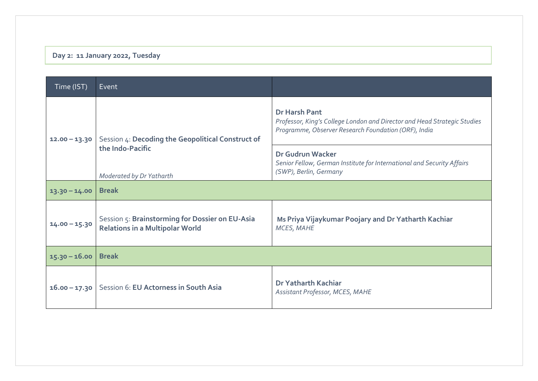# **Day 2: 11 January 2022, Tuesday**

| Time (IST)      | Event                                                                                             |                                                                                                                                                          |
|-----------------|---------------------------------------------------------------------------------------------------|----------------------------------------------------------------------------------------------------------------------------------------------------------|
| $12.00 - 13.30$ | Session 4: Decoding the Geopolitical Construct of<br>the Indo-Pacific<br>Moderated by Dr Yatharth | <b>Dr Harsh Pant</b><br>Professor, King's College London and Director and Head Strategic Studies<br>Programme, Observer Research Foundation (ORF), India |
|                 |                                                                                                   | Dr Gudrun Wacker<br>Senior Fellow, German Institute for International and Security Affairs<br>(SWP), Berlin, Germany                                     |
| $13.30 - 14.00$ | <b>Break</b>                                                                                      |                                                                                                                                                          |
| $14.00 - 15.30$ | Session 5: Brainstorming for Dossier on EU-Asia<br><b>Relations in a Multipolar World</b>         | Ms Priya Vijaykumar Poojary and Dr Yatharth Kachiar<br>MCES, MAHE                                                                                        |
| $15.30 - 16.00$ | <b>Break</b>                                                                                      |                                                                                                                                                          |
| $16.00 - 17.30$ | Session 6: EU Actorness in South Asia                                                             | Dr Yatharth Kachiar<br>Assistant Professor, MCES, MAHE                                                                                                   |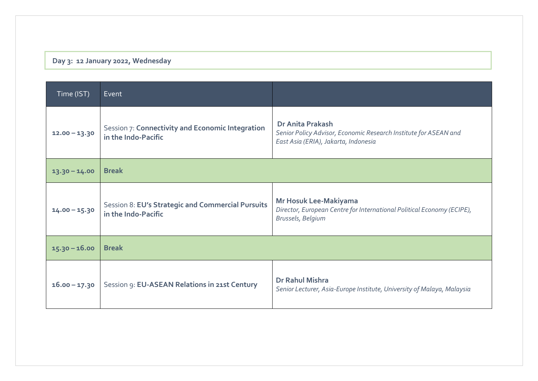## **Day 3: 12 January 2022, Wednesday**

| Time (IST)      | Event                                                                    |                                                                                                                                     |
|-----------------|--------------------------------------------------------------------------|-------------------------------------------------------------------------------------------------------------------------------------|
| $12.00 - 13.30$ | Session 7: Connectivity and Economic Integration<br>in the Indo-Pacific  | <b>Dr Anita Prakash</b><br>Senior Policy Advisor, Economic Research Institute for ASEAN and<br>East Asia (ERIA), Jakarta, Indonesia |
| $13.30 - 14.00$ | <b>Break</b>                                                             |                                                                                                                                     |
| $14.00 - 15.30$ | Session 8: EU's Strategic and Commercial Pursuits<br>in the Indo-Pacific | Mr Hosuk Lee-Makiyama<br>Director, European Centre for International Political Economy (ECIPE),<br>Brussels, Belgium                |
| $15.30 - 16.00$ | <b>Break</b>                                                             |                                                                                                                                     |
| $16.00 - 17.30$ | Session 9: EU-ASEAN Relations in 21st Century                            | Dr Rahul Mishra<br>Senior Lecturer, Asia-Europe Institute, University of Malaya, Malaysia                                           |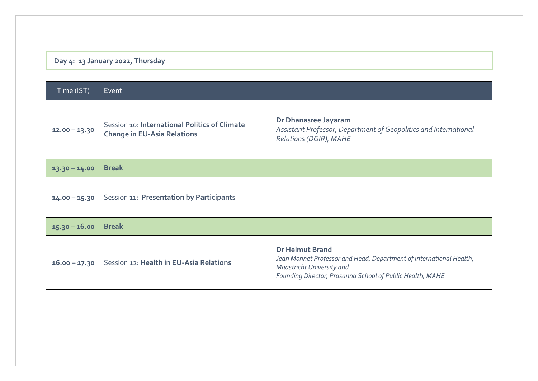## **Day 4: 13 January 2022, Thursday**

| Time (IST)      | Event                                                                               |                                                                                                                                                                                         |
|-----------------|-------------------------------------------------------------------------------------|-----------------------------------------------------------------------------------------------------------------------------------------------------------------------------------------|
| $12.00 - 13.30$ | Session 10: International Politics of Climate<br><b>Change in EU-Asia Relations</b> | Dr Dhanasree Jayaram<br>Assistant Professor, Department of Geopolitics and International<br>Relations (DGIR), MAHE                                                                      |
| $13.30 - 14.00$ | <b>Break</b>                                                                        |                                                                                                                                                                                         |
| $14.00 - 15.30$ | Session 11: Presentation by Participants                                            |                                                                                                                                                                                         |
| $15.30 - 16.00$ | <b>Break</b>                                                                        |                                                                                                                                                                                         |
| $16.00 - 17.30$ | Session 12: Health in EU-Asia Relations                                             | <b>Dr Helmut Brand</b><br>Jean Monnet Professor and Head, Department of International Health,<br>Maastricht University and<br>Founding Director, Prasanna School of Public Health, MAHE |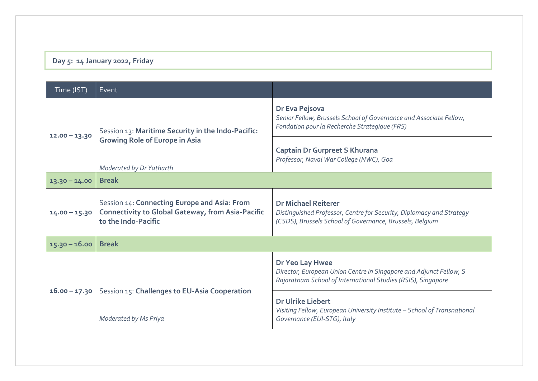#### **Day 5: 14 January 2022, Friday**

| Time (IST)      | Event                                                                                                                           |                                                                                                                                                                |
|-----------------|---------------------------------------------------------------------------------------------------------------------------------|----------------------------------------------------------------------------------------------------------------------------------------------------------------|
| $12.00 - 13.30$ | Session 13: Maritime Security in the Indo-Pacific:<br><b>Growing Role of Europe in Asia</b><br>Moderated by Dr Yatharth         | Dr Eva Pejsova<br>Senior Fellow, Brussels School of Governance and Associate Fellow,<br>Fondation pour la Recherche Strategique (FRS)                          |
|                 |                                                                                                                                 | <b>Captain Dr Gurpreet S Khurana</b><br>Professor, Naval War College (NWC), Goa                                                                                |
| $13.30 - 14.00$ | <b>Break</b>                                                                                                                    |                                                                                                                                                                |
| $14.00 - 15.30$ | Session 14: Connecting Europe and Asia: From<br><b>Connectivity to Global Gateway, from Asia-Pacific</b><br>to the Indo-Pacific | <b>Dr Michael Reiterer</b><br>Distinguished Professor, Centre for Security, Diplomacy and Strategy<br>(CSDS), Brussels School of Governance, Brussels, Belgium |
| $15.30 - 16.00$ | <b>Break</b>                                                                                                                    |                                                                                                                                                                |
| $16.00 - 17.30$ |                                                                                                                                 | Dr Yeo Lay Hwee<br>Director, European Union Centre in Singapore and Adjunct Fellow, S<br>Rajaratnam School of International Studies (RSIS), Singapore          |
|                 | Session 15: Challenges to EU-Asia Cooperation<br>Moderated by Ms Priya                                                          | <b>Dr Ulrike Liebert</b><br>Visiting Fellow, European University Institute - School of Transnational<br>Governance (EUI-STG), Italy                            |